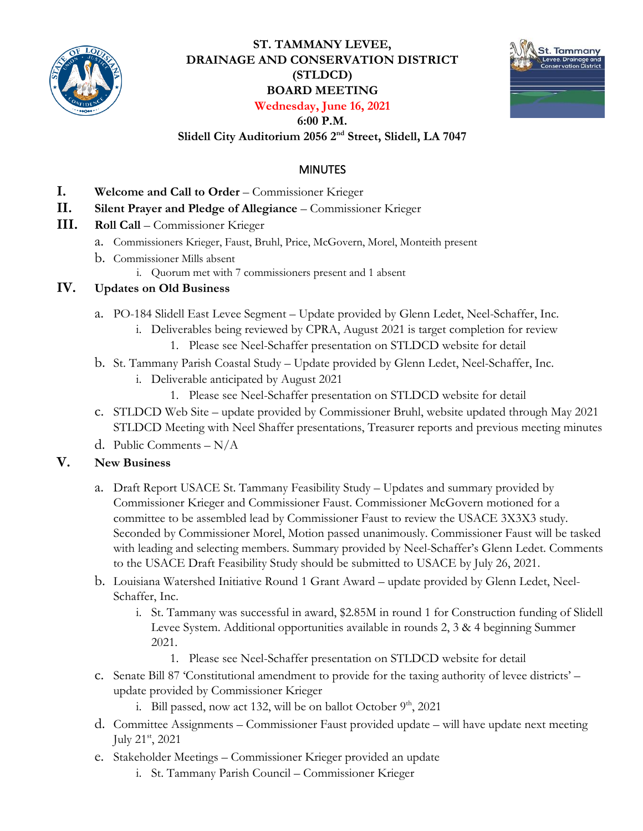

# **ST. TAMMANY LEVEE, DRAINAGE AND CONSERVATION DISTRICT (STLDCD) BOARD MEETING Wednesday, June 16, 2021**



#### **6:00 P.M.**

**Slidell City Auditorium 2056 2nd Street, Slidell, LA 7047** 

## MINUTES

- **I. Welcome and Call to Order** Commissioner Krieger
- **II. Silent Prayer and Pledge of Allegiance** Commissioner Krieger
- **III. Roll Call**  Commissioner Krieger
	- a. Commissioners Krieger, Faust, Bruhl, Price, McGovern, Morel, Monteith present
	- b. Commissioner Mills absent
		- i. Quorum met with 7 commissioners present and 1 absent

### **IV. Updates on Old Business**

- a. PO-184 Slidell East Levee Segment Update provided by Glenn Ledet, Neel-Schaffer, Inc.
	- i. Deliverables being reviewed by CPRA, August 2021 is target completion for review
		- 1. Please see Neel-Schaffer presentation on STLDCD website for detail
- b. St. Tammany Parish Coastal Study Update provided by Glenn Ledet, Neel-Schaffer, Inc.
	- i. Deliverable anticipated by August 2021
		- 1. Please see Neel-Schaffer presentation on STLDCD website for detail
- c. STLDCD Web Site update provided by Commissioner Bruhl, website updated through May 2021 STLDCD Meeting with Neel Shaffer presentations, Treasurer reports and previous meeting minutes
- d. Public Comments N/A

### **V. New Business**

- a. Draft Report USACE St. Tammany Feasibility Study Updates and summary provided by Commissioner Krieger and Commissioner Faust. Commissioner McGovern motioned for a committee to be assembled lead by Commissioner Faust to review the USACE 3X3X3 study. Seconded by Commissioner Morel, Motion passed unanimously. Commissioner Faust will be tasked with leading and selecting members. Summary provided by Neel-Schaffer's Glenn Ledet. Comments to the USACE Draft Feasibility Study should be submitted to USACE by July 26, 2021.
- b. Louisiana Watershed Initiative Round 1 Grant Award update provided by Glenn Ledet, Neel-Schaffer, Inc.
	- i. St. Tammany was successful in award, \$2.85M in round 1 for Construction funding of Slidell Levee System. Additional opportunities available in rounds 2, 3 & 4 beginning Summer 2021.
		- 1. Please see Neel-Schaffer presentation on STLDCD website for detail
- c. Senate Bill 87 'Constitutional amendment to provide for the taxing authority of levee districts' update provided by Commissioner Krieger
	- i. Bill passed, now act 132, will be on ballot October  $9<sup>th</sup>$ , 2021
- d. Committee Assignments Commissioner Faust provided update will have update next meeting July 21st, 2021
- e. Stakeholder Meetings Commissioner Krieger provided an update
	- i. St. Tammany Parish Council Commissioner Krieger